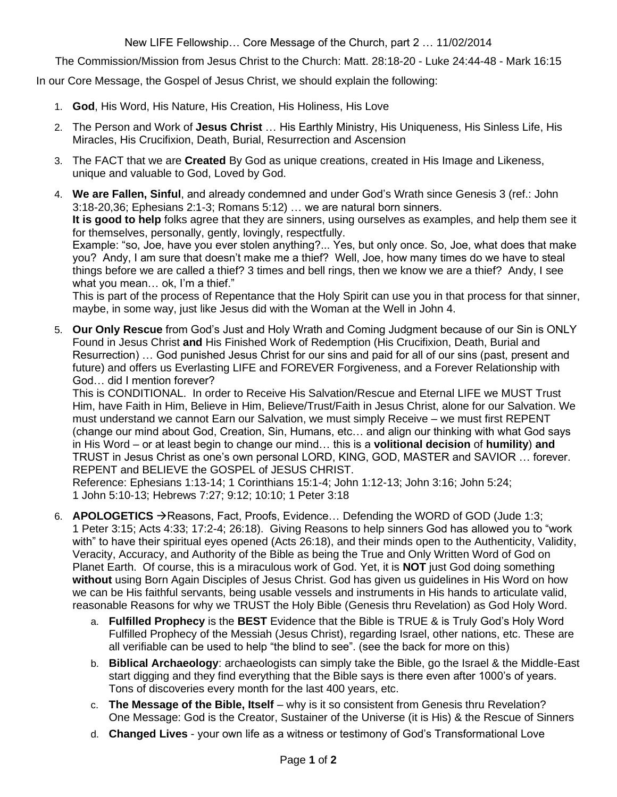New LIFE Fellowship… Core Message of the Church, part 2 … 11/02/2014

The Commission/Mission from Jesus Christ to the Church: Matt. 28:18-20 - Luke 24:44-48 - Mark 16:15

In our Core Message, the Gospel of Jesus Christ, we should explain the following:

- 1. **God**, His Word, His Nature, His Creation, His Holiness, His Love
- 2. The Person and Work of **Jesus Christ** … His Earthly Ministry, His Uniqueness, His Sinless Life, His Miracles, His Crucifixion, Death, Burial, Resurrection and Ascension
- 3. The FACT that we are **Created** By God as unique creations, created in His Image and Likeness, unique and valuable to God, Loved by God.
- 4. **We are Fallen, Sinful**, and already condemned and under God's Wrath since Genesis 3 (ref.: John 3:18-20,36; Ephesians 2:1-3; Romans 5:12) … we are natural born sinners. **It is good to help** folks agree that they are sinners, using ourselves as examples, and help them see it

for themselves, personally, gently, lovingly, respectfully. Example: "so, Joe, have you ever stolen anything?... Yes, but only once. So, Joe, what does that make you? Andy, I am sure that doesn't make me a thief? Well, Joe, how many times do we have to steal things before we are called a thief? 3 times and bell rings, then we know we are a thief? Andy, I see what you mean… ok, I'm a thief."

This is part of the process of Repentance that the Holy Spirit can use you in that process for that sinner, maybe, in some way, just like Jesus did with the Woman at the Well in John 4.

5. **Our Only Rescue** from God's Just and Holy Wrath and Coming Judgment because of our Sin is ONLY Found in Jesus Christ **and** His Finished Work of Redemption (His Crucifixion, Death, Burial and Resurrection) … God punished Jesus Christ for our sins and paid for all of our sins (past, present and future) and offers us Everlasting LIFE and FOREVER Forgiveness, and a Forever Relationship with God… did I mention forever?

This is CONDITIONAL. In order to Receive His Salvation/Rescue and Eternal LIFE we MUST Trust Him, have Faith in Him, Believe in Him, Believe/Trust/Faith in Jesus Christ, alone for our Salvation. We must understand we cannot Earn our Salvation, we must simply Receive – we must first REPENT (change our mind about God, Creation, Sin, Humans, etc… and align our thinking with what God says in His Word – or at least begin to change our mind… this is a **volitional decision** of **humility**) **and** TRUST in Jesus Christ as one's own personal LORD, KING, GOD, MASTER and SAVIOR … forever. REPENT and BELIEVE the GOSPEL of JESUS CHRIST.

Reference: Ephesians 1:13-14; 1 Corinthians 15:1-4; John 1:12-13; John 3:16; John 5:24; 1 John 5:10-13; Hebrews 7:27; 9:12; 10:10; 1 Peter 3:18

- 6. **APOLOGETICS** →Reasons, Fact, Proofs, Evidence… Defending the WORD of GOD (Jude 1:3; 1 Peter 3:15; Acts 4:33; 17:2-4; 26:18). Giving Reasons to help sinners God has allowed you to "work with" to have their spiritual eyes opened (Acts 26:18), and their minds open to the Authenticity, Validity, Veracity, Accuracy, and Authority of the Bible as being the True and Only Written Word of God on Planet Earth. Of course, this is a miraculous work of God. Yet, it is **NOT** just God doing something **without** using Born Again Disciples of Jesus Christ. God has given us guidelines in His Word on how we can be His faithful servants, being usable vessels and instruments in His hands to articulate valid, reasonable Reasons for why we TRUST the Holy Bible (Genesis thru Revelation) as God Holy Word.
	- a. **Fulfilled Prophecy** is the **BEST** Evidence that the Bible is TRUE & is Truly God's Holy Word Fulfilled Prophecy of the Messiah (Jesus Christ), regarding Israel, other nations, etc. These are all verifiable can be used to help "the blind to see". (see the back for more on this)
	- b. **Biblical Archaeology**: archaeologists can simply take the Bible, go the Israel & the Middle-East start digging and they find everything that the Bible says is there even after 1000's of years. Tons of discoveries every month for the last 400 years, etc.
	- c. **The Message of the Bible, Itself**  why is it so consistent from Genesis thru Revelation? One Message: God is the Creator, Sustainer of the Universe (it is His) & the Rescue of Sinners
	- d. **Changed Lives** your own life as a witness or testimony of God's Transformational Love